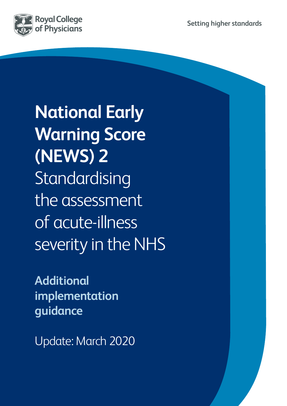

**National Early Warning Score (NEWS) 2** Standardising the assessment of acute-illness severity in the NHS

**Additional implementation guidance**

Update: March 2020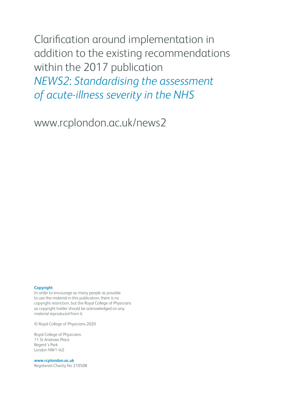Clarification around implementation in addition to the existing recommendations within the 2017 publication *NEWS2*: *Standardising the assessment of acute-illness severity in the NHS* 

www.rcplondon.ac.uk/news2

#### **Copyright**

In order to encourage as many people as possible to use the material in this publication, there is no copyright restriction, but the Royal College of Physicians as copyright holder should be acknowledged on any material reproduced from it.

© Royal College of Physicians 2020

Royal College of Physicians 11 St Andrews Place Regent's Park London NW1 4LE

**www.rcplondon.ac.uk** Registered Charity No 210508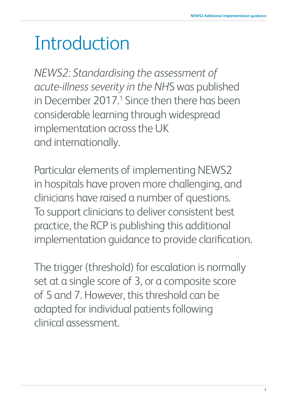## Introduction

*NEWS2: Standardising the assessment of acute-illness severity in the NH*S was published in December 2017.<sup>1</sup> Since then there has been considerable learning through widespread implementation across the UK and internationally.

Particular elements of implementing NEWS2 in hospitals have proven more challenging, and clinicians have raised a number of questions. To support clinicians to deliver consistent best practice, the RCP is publishing this additional implementation guidance to provide clarification.

The trigger (threshold) for escalation is normally set at a single score of 3, or a composite score of 5 and 7. However, this threshold can be adapted for individual patients following clinical assessment.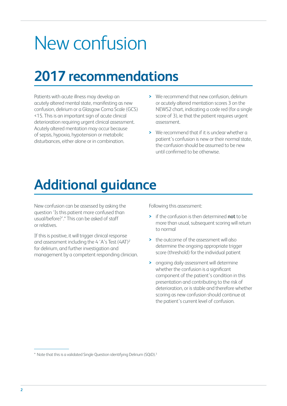## New confusion

### **2017 recommendations**

Patients with acute illness may develop an acutely altered mental state, manifesting as new confusion, delirium or a Glasgow Coma Scale (GCS) <15. This is an important sign of acute clinical deterioration requiring urgent clinical assessment. Acutely altered mentation may occur because of sepsis, hypoxia, hypotension or metabolic disturbances, either alone or in combination.

- **>** We recommend that new confusion, delirium or acutely altered mentation scores 3 on the NEWS2 chart, indicating a code red (for a single score of 3), ie that the patient requires urgent assessment.
- **>** We recommend that if it is unclear whether a patient's confusion is new or their normal state, the confusion should be assumed to be new until confirmed to be otherwise.

### **Additional guidance**

New confusion can be assessed by asking the question 'Is this patient more confused than usual/before?'.\* This can be asked of staff or relatives.

If this is positive, it will trigger clinical response and assessment including the 4 'A's Test (4AT)2 for delirium, and further investigation and management by a competent responding clinician. Following this assessment:

- **>** if the confusion is then determined **not** to be more than usual, subsequent scoring will return to normal
- **>** the outcome of the assessment will also determine the ongoing appropriate trigger score (threshold) for the individual patient
- **>** ongoing daily assessment will determine whether the confusion is a significant component of the patient's condition in this presentation and contributing to the risk of deterioration, or is stable and therefore whether scoring as new confusion should continue at the patient's current level of confusion.

<sup>\*</sup> Note that this is a validated Single Question identifying Delirium (SQiD).3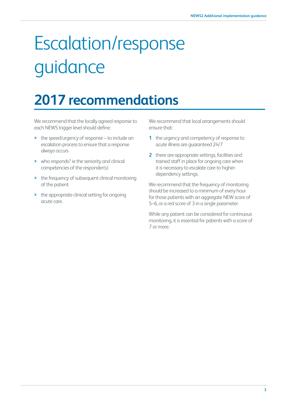# Escalation/response guidance

### **2017 recommendations**

We recommend that the locally agreed response to each NEWS trigger level should define:

- **>** the speed/urgency of response to include an escalation process to ensure that a response always occurs
- **>** who responds? ie the seniority and clinical competencies of the responder(s)
- **>** the frequency of subsequent clinical monitoring of the patient
- **>** the appropriate clinical setting for ongoing acute care.

We recommend that local arrangements should ensure that:

- **1** the urgency and competency of response to acute illness are guaranteed 24/7
- **2** there are appropriate settings, facilities and trained staff in place for ongoing care when it is necessary to escalate care to higherdependency settings.

We recommend that the frequency of monitoring should be increased to a minimum of every hour for those patients with an aggregate NEW score of 5–6, or a red score of 3 in a single parameter.

While any patient can be considered for continuous monitoring, it is essential for patients with a score of 7 or more.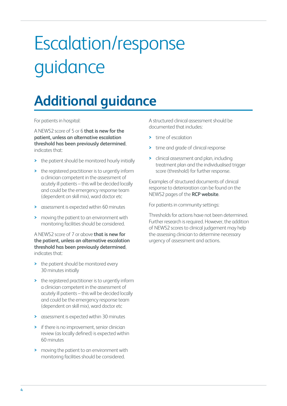# Escalation/response guidance

### **Additional guidance**

For patients in hospital:

A NEWS2 score of 5 or 6 **that is new for the patient, unless an alternative escalation threshold has been previously determined**, indicates that:

- **>** the patient should be monitored hourly initially
- **>** the registered practitioner is to urgently inform a clinician competent in the assessment of acutely ill patients – this will be decided locally and could be the emergency response team (dependent on skill mix), ward doctor etc
- **>** assessment is expected within 60 minutes
- **>** moving the patient to an environment with monitoring facilities should be considered.

#### A NEWS2 score of 7 or above **that is new for the patient, unless an alternative escalation threshold has been previously determined**, indicates that:

- **>** the patient should be monitored every 30 minutes initially
- **>** the registered practitioner is to urgently inform a clinician competent in the assessment of acutely ill patients – this will be decided locally and could be the emergency response team (dependent on skill mix), ward doctor etc
- **>** assessment is expected within 30 minutes
- **>** if there is no improvement, senior clinician review (as locally defined) is expected within 60 minutes
- **>** moving the patient to an environment with monitoring facilities should be considered.

A structured clinical assessment should be documented that includes:

- **>** time of escalation
- **>** time and grade of clinical response
- **>** clinical assessment and plan, including treatment plan and the individualised trigger score (threshold) for further response.

Examples of structured documents of clinical response to deterioration can be found on the NEWS2 pages of the **[RCP website](http://www.rcplondon.ac.uk/news2)**.

For patients in community settings:

Thresholds for actions have not been determined. Further research is required. However, the addition of NEWS2 scores to clinical judgement may help the assessing clinician to determine necessary urgency of assessment and actions.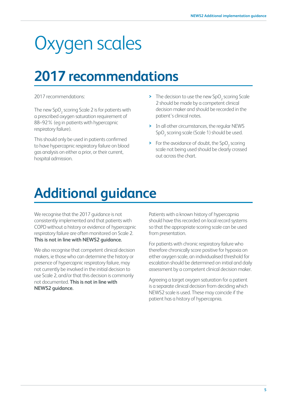## Oxygen scales

### **2017 recommendations**

#### 2017 recommendations:

The new  $\text{SpO}_2$  scoring Scale 2 is for patients with a prescribed oxygen saturation requirement of 88–92% (eg in patients with hypercapnic respiratory failure).

This should only be used in patients confirmed to have hypercapnic respiratory failure on blood gas analysis on either a prior, or their current, hospital admission.

- **>** The decision to use the new SpO<sub>2</sub> scoring Scale 2 should be made by a competent clinical decision maker and should be recorded in the patient's clinical notes.
- **>** In all other circumstances, the regular NEWS SpO<sub>2</sub> scoring scale (Scale 1) should be used.
- **>** For the avoidance of doubt, the SpO<sub>2</sub> scoring scale not being used should be clearly crossed out across the chart.

### **Additional guidance**

We recognise that the 2017 guidance is not consistently implemented and that patients with COPD without a history or evidence of hypercapnic respiratory failure are often monitored on Scale 2. **This is not in line with NEWS2 guidance.**

We also recognise that competent clinical decision makers, ie those who can determine the history or presence of hypercapnic respiratory failure, may not currently be involved in the initial decision to use Scale 2, and/or that this decision is commonly not documented. **This is not in line with NEWS2 guidance.**

Patients with a known history of hypercapnia should have this recorded on local record systems so that the appropriate scoring scale can be used from presentation.

For patients with chronic respiratory failure who therefore chronically score positive for hypoxia on either oxygen scale, an individualised threshold for escalation should be determined on initial and daily assessment by a competent clinical decision maker.

Agreeing a target oxygen saturation for a patient is a separate clinical decision from deciding which NEWS2 scale is used. These may coincide if the patient has a history of hypercapnia.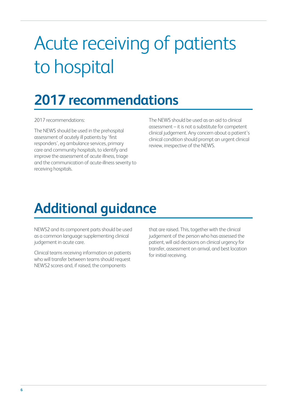## Acute receiving of patients to hospital

### **2017 recommendations**

2017 recommendations:

The NEWS should be used in the prehospital assessment of acutely ill patients by 'first responders', eg ambulance services, primary care and community hospitals, to identify and improve the assessment of acute illness, triage and the communication of acute-illness severity to receiving hospitals.

The NEWS should be used as an aid to clinical assessment – it is not a substitute for competent clinical judgement. Any concern about a patient's clinical condition should prompt an urgent clinical review, irrespective of the NEWS.

### **Additional guidance**

NEWS2 and its component parts should be used as a common language supplementing clinical judgement in acute care.

Clinical teams receiving information on patients who will transfer between teams should request NEWS2 scores and, if raised, the components

that are raised. This, together with the clinical judgement of the person who has assessed the patient, will aid decisions on clinical urgency for transfer, assessment on arrival, and best location for initial receiving.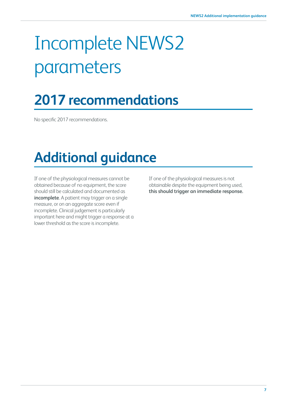# Incomplete NEWS2 parameters

### **2017 recommendations**

No specific 2017 recommendations.

### **Additional guidance**

If one of the physiological measures cannot be obtained because of no equipment, the score should still be calculated and documented as **incomplete**. A patient may trigger on a single measure, or on an aggregate score even if incomplete. Clinical judgement is particularly important here and might trigger a response at a lower threshold as the score is incomplete.

If one of the physiological measures is not obtainable despite the equipment being used, **this should trigger an immediate response.**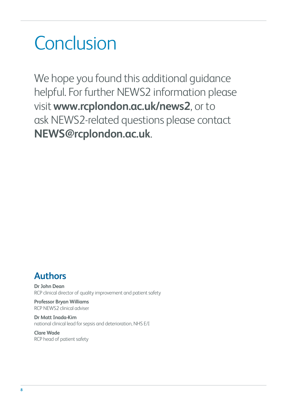## Conclusion

We hope you found this additional guidance helpful. For further NEWS2 information please visit **[www.rcplondon.ac.uk/news2](http://www.rcplondon.ac.uk/news)**, or to ask NEWS2-related questions please contact **[NEWS@rcplondon.ac.uk](mailto:NEWS%40rcplondon.ac.uk?subject=)**.

### **Authors**

**Dr John Dean** RCP clinical director of quality improvement and patient safety

**Professor Bryan Williams** RCP NEWS2 clinical adviser

**Dr Matt Inada-Kim** national clinical lead for sepsis and deterioration, NHS E/I

**Clare Wade** RCP head of patient safety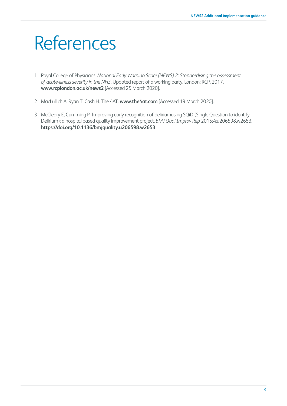## **References**

- 1 Royal College of Physicians. *National Early Warning Score (NEWS) 2: Standardising the assessment of acute-illness severity in the NHS*. Updated report of a working party. London: RCP, 2017. **[www.rcplondon.ac.uk/news2](http://www.rcplondon.ac.uk/news2)** [Accessed 25 March 2020].
- 2 MacLullich A, Ryan T, Cash H. The 4AT. **[www.the4at.com](http://www.the4at.com)** [Accessed 19 March 2020].
- 3 McCleary E, Cumming P. Improving early recognition of deliriumusing SQiD (Single Question to identify Delirium): a hospital based quality improvement project. *BMJ Qual Improv Rep* 2015;4:u206598.w2653. **[https://doi.org/10.1136/bmjquality.u206598.w2653](https://doi.org/10.1136/bmjquality.u206598.w2653 )**